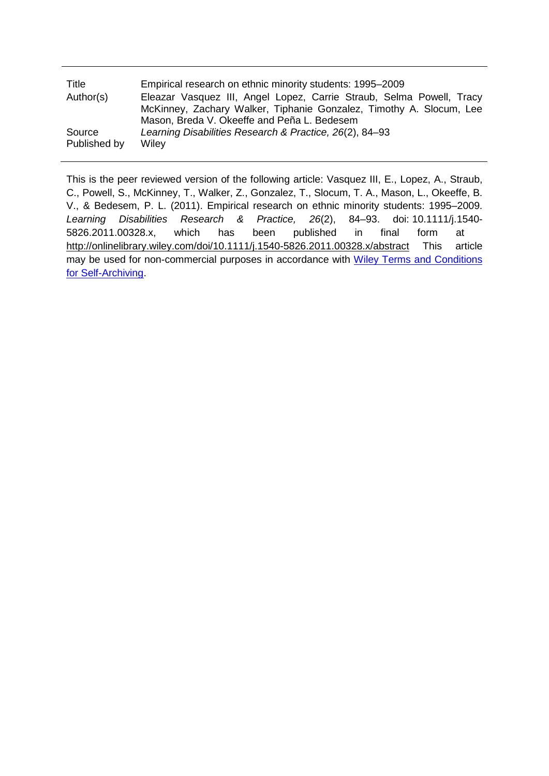| Title        | Empirical research on ethnic minority students: 1995–2009            |  |  |
|--------------|----------------------------------------------------------------------|--|--|
| Author(s)    | Eleazar Vasquez III, Angel Lopez, Carrie Straub, Selma Powell, Tracy |  |  |
|              | McKinney, Zachary Walker, Tiphanie Gonzalez, Timothy A. Slocum, Lee  |  |  |
|              | Mason, Breda V. Okeeffe and Peña L. Bedesem                          |  |  |
| Source       | Learning Disabilities Research & Practice, 26(2), 84–93              |  |  |
| Published by | Wiley                                                                |  |  |

This is the peer reviewed version of the following article: Vasquez III, E., Lopez, A., Straub, C., Powell, S., McKinney, T., Walker, Z., Gonzalez, T., Slocum, T. A., Mason, L., Okeeffe, B. V., & Bedesem, P. L. (2011). Empirical research on ethnic minority students: 1995–2009. *Learning Disabilities Research & Practice, 26*(2), 84–93. doi: 10.1111/j.1540- 5826.2011.00328.x, which has been published in final form at <http://onlinelibrary.wiley.com/doi/10.1111/j.1540-5826.2011.00328.x/abstract> This article may be used for non-commercial purposes in accordance with Wiley Terms and Conditions [for Self-Archiving.](http://olabout.wiley.com/WileyCDA/Section/id-820227.html#terms)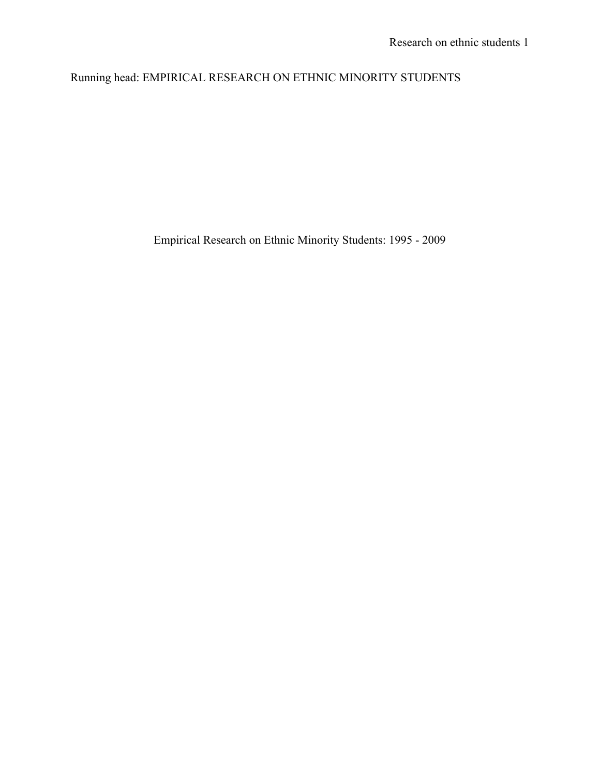# Running head: EMPIRICAL RESEARCH ON ETHNIC MINORITY STUDENTS

Empirical Research on Ethnic Minority Students: 1995 - 2009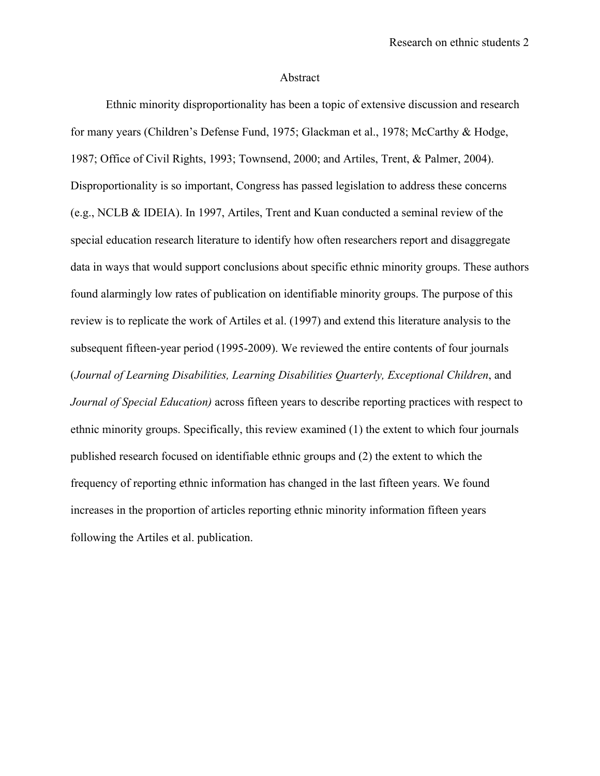#### Abstract

Ethnic minority disproportionality has been a topic of extensive discussion and research for many years (Children's Defense Fund, 1975; Glackman et al., 1978; McCarthy & Hodge, 1987; Office of Civil Rights, 1993; Townsend, 2000; and Artiles, Trent, & Palmer, 2004). Disproportionality is so important, Congress has passed legislation to address these concerns (e.g., NCLB & IDEIA). In 1997, Artiles, Trent and Kuan conducted a seminal review of the special education research literature to identify how often researchers report and disaggregate data in ways that would support conclusions about specific ethnic minority groups. These authors found alarmingly low rates of publication on identifiable minority groups. The purpose of this review is to replicate the work of Artiles et al. (1997) and extend this literature analysis to the subsequent fifteen-year period (1995-2009). We reviewed the entire contents of four journals (*Journal of Learning Disabilities, Learning Disabilities Quarterly, Exceptional Children*, and *Journal of Special Education)* across fifteen years to describe reporting practices with respect to ethnic minority groups. Specifically, this review examined (1) the extent to which four journals published research focused on identifiable ethnic groups and (2) the extent to which the frequency of reporting ethnic information has changed in the last fifteen years. We found increases in the proportion of articles reporting ethnic minority information fifteen years following the Artiles et al. publication.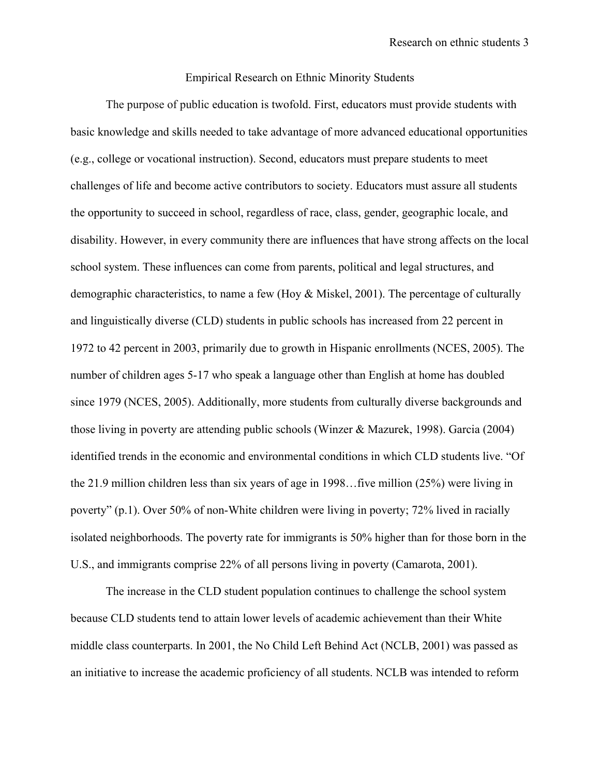#### Empirical Research on Ethnic Minority Students

The purpose of public education is twofold. First, educators must provide students with basic knowledge and skills needed to take advantage of more advanced educational opportunities (e.g., college or vocational instruction). Second, educators must prepare students to meet challenges of life and become active contributors to society. Educators must assure all students the opportunity to succeed in school, regardless of race, class, gender, geographic locale, and disability. However, in every community there are influences that have strong affects on the local school system. These influences can come from parents, political and legal structures, and demographic characteristics, to name a few (Hoy & Miskel, 2001). The percentage of culturally and linguistically diverse (CLD) students in public schools has increased from 22 percent in 1972 to 42 percent in 2003, primarily due to growth in Hispanic enrollments (NCES, 2005). The number of children ages 5-17 who speak a language other than English at home has doubled since 1979 (NCES, 2005). Additionally, more students from culturally diverse backgrounds and those living in poverty are attending public schools (Winzer & Mazurek, 1998). Garcia (2004) identified trends in the economic and environmental conditions in which CLD students live. "Of the 21.9 million children less than six years of age in 1998…five million (25%) were living in poverty" (p.1). Over 50% of non-White children were living in poverty; 72% lived in racially isolated neighborhoods. The poverty rate for immigrants is 50% higher than for those born in the U.S., and immigrants comprise 22% of all persons living in poverty (Camarota, 2001).

The increase in the CLD student population continues to challenge the school system because CLD students tend to attain lower levels of academic achievement than their White middle class counterparts. In 2001, the No Child Left Behind Act (NCLB, 2001) was passed as an initiative to increase the academic proficiency of all students. NCLB was intended to reform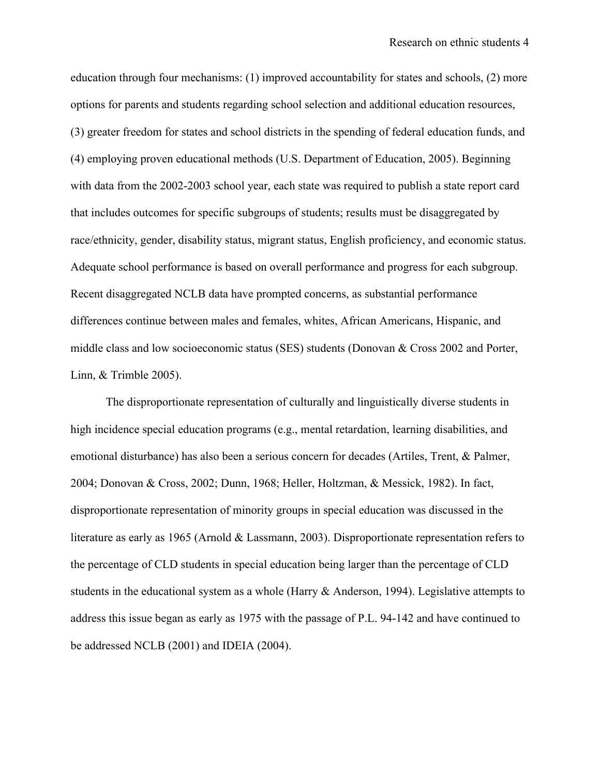education through four mechanisms: (1) improved accountability for states and schools, (2) more options for parents and students regarding school selection and additional education resources, (3) greater freedom for states and school districts in the spending of federal education funds, and (4) employing proven educational methods (U.S. Department of Education, 2005). Beginning with data from the 2002-2003 school year, each state was required to publish a state report card that includes outcomes for specific subgroups of students; results must be disaggregated by race/ethnicity, gender, disability status, migrant status, English proficiency, and economic status. Adequate school performance is based on overall performance and progress for each subgroup. Recent disaggregated NCLB data have prompted concerns, as substantial performance differences continue between males and females, whites, African Americans, Hispanic, and middle class and low socioeconomic status (SES) students (Donovan & Cross 2002 and Porter, Linn, & Trimble 2005).

The disproportionate representation of culturally and linguistically diverse students in high incidence special education programs (e.g., mental retardation, learning disabilities, and emotional disturbance) has also been a serious concern for decades (Artiles, Trent, & Palmer, 2004; Donovan & Cross, 2002; Dunn, 1968; Heller, Holtzman, & Messick, 1982). In fact, disproportionate representation of minority groups in special education was discussed in the literature as early as 1965 (Arnold & Lassmann, 2003). Disproportionate representation refers to the percentage of CLD students in special education being larger than the percentage of CLD students in the educational system as a whole (Harry & Anderson, 1994). Legislative attempts to address this issue began as early as 1975 with the passage of P.L. 94-142 and have continued to be addressed NCLB (2001) and IDEIA (2004).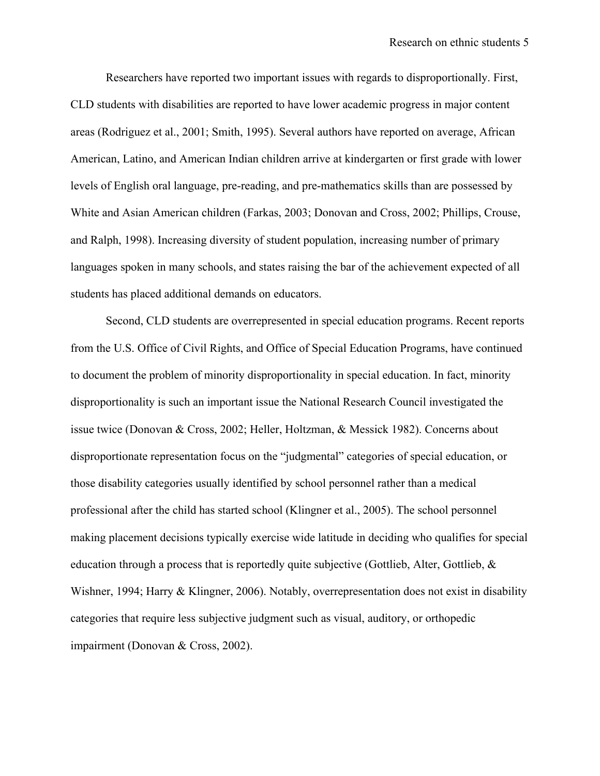Researchers have reported two important issues with regards to disproportionally. First, CLD students with disabilities are reported to have lower academic progress in major content areas (Rodriguez et al., 2001; Smith, 1995). Several authors have reported on average, African American, Latino, and American Indian children arrive at kindergarten or first grade with lower levels of English oral language, pre-reading, and pre-mathematics skills than are possessed by White and Asian American children (Farkas, 2003; Donovan and Cross, 2002; Phillips, Crouse, and Ralph, 1998). Increasing diversity of student population, increasing number of primary languages spoken in many schools, and states raising the bar of the achievement expected of all students has placed additional demands on educators.

Second, CLD students are overrepresented in special education programs. Recent reports from the U.S. Office of Civil Rights, and Office of Special Education Programs, have continued to document the problem of minority disproportionality in special education. In fact, minority disproportionality is such an important issue the National Research Council investigated the issue twice (Donovan & Cross, 2002; Heller, Holtzman, & Messick 1982). Concerns about disproportionate representation focus on the "judgmental" categories of special education, or those disability categories usually identified by school personnel rather than a medical professional after the child has started school (Klingner et al., 2005). The school personnel making placement decisions typically exercise wide latitude in deciding who qualifies for special education through a process that is reportedly quite subjective (Gottlieb, Alter, Gottlieb, & Wishner, 1994; Harry & Klingner, 2006). Notably, overrepresentation does not exist in disability categories that require less subjective judgment such as visual, auditory, or orthopedic impairment (Donovan & Cross, 2002).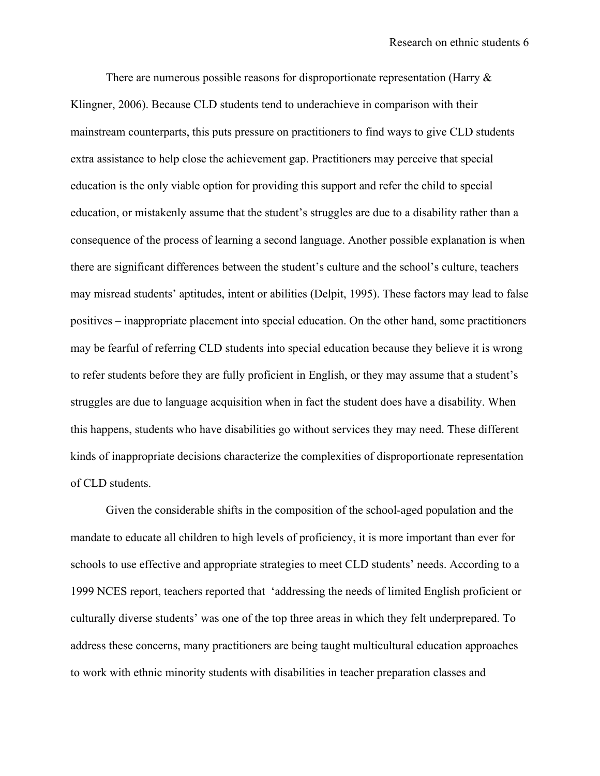There are numerous possible reasons for disproportionate representation (Harry  $\&$ Klingner, 2006). Because CLD students tend to underachieve in comparison with their mainstream counterparts, this puts pressure on practitioners to find ways to give CLD students extra assistance to help close the achievement gap. Practitioners may perceive that special education is the only viable option for providing this support and refer the child to special education, or mistakenly assume that the student's struggles are due to a disability rather than a consequence of the process of learning a second language. Another possible explanation is when there are significant differences between the student's culture and the school's culture, teachers may misread students' aptitudes, intent or abilities (Delpit, 1995). These factors may lead to false positives – inappropriate placement into special education. On the other hand, some practitioners may be fearful of referring CLD students into special education because they believe it is wrong to refer students before they are fully proficient in English, or they may assume that a student's struggles are due to language acquisition when in fact the student does have a disability. When this happens, students who have disabilities go without services they may need. These different kinds of inappropriate decisions characterize the complexities of disproportionate representation of CLD students.

Given the considerable shifts in the composition of the school-aged population and the mandate to educate all children to high levels of proficiency, it is more important than ever for schools to use effective and appropriate strategies to meet CLD students' needs. According to a 1999 NCES report, teachers reported that 'addressing the needs of limited English proficient or culturally diverse students' was one of the top three areas in which they felt underprepared. To address these concerns, many practitioners are being taught multicultural education approaches to work with ethnic minority students with disabilities in teacher preparation classes and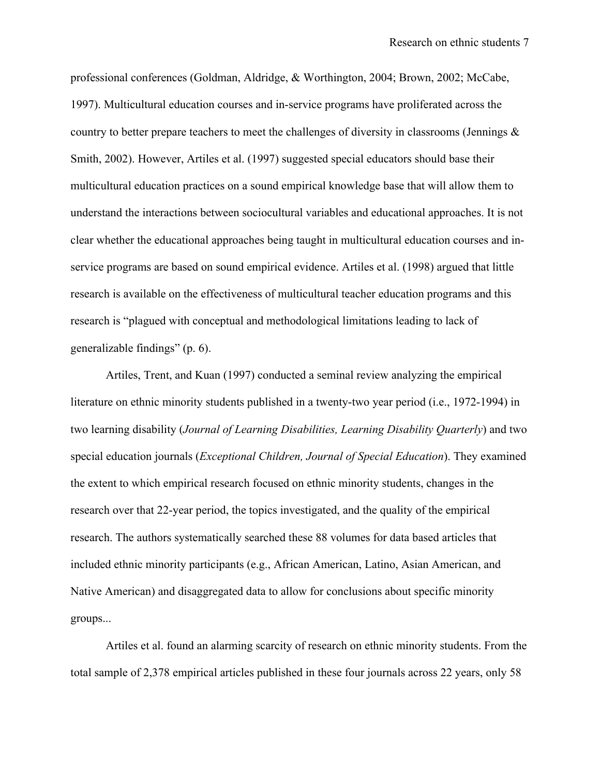professional conferences (Goldman, Aldridge, & Worthington, 2004; Brown, 2002; McCabe, 1997). Multicultural education courses and in-service programs have proliferated across the country to better prepare teachers to meet the challenges of diversity in classrooms (Jennings  $\&$ Smith, 2002). However, Artiles et al. (1997) suggested special educators should base their multicultural education practices on a sound empirical knowledge base that will allow them to understand the interactions between sociocultural variables and educational approaches. It is not clear whether the educational approaches being taught in multicultural education courses and inservice programs are based on sound empirical evidence. Artiles et al. (1998) argued that little research is available on the effectiveness of multicultural teacher education programs and this research is "plagued with conceptual and methodological limitations leading to lack of generalizable findings" (p. 6).

Artiles, Trent, and Kuan (1997) conducted a seminal review analyzing the empirical literature on ethnic minority students published in a twenty-two year period (i.e., 1972-1994) in two learning disability (*Journal of Learning Disabilities, Learning Disability Quarterly*) and two special education journals (*Exceptional Children, Journal of Special Education*). They examined the extent to which empirical research focused on ethnic minority students, changes in the research over that 22-year period, the topics investigated, and the quality of the empirical research. The authors systematically searched these 88 volumes for data based articles that included ethnic minority participants (e.g., African American, Latino, Asian American, and Native American) and disaggregated data to allow for conclusions about specific minority groups...

Artiles et al. found an alarming scarcity of research on ethnic minority students. From the total sample of 2,378 empirical articles published in these four journals across 22 years, only 58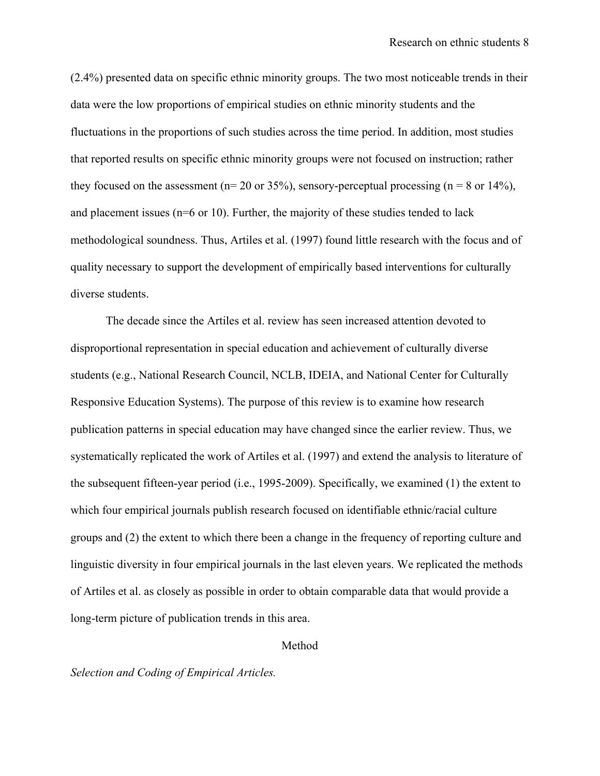(2.4%) presented data on specific ethnic minority groups. The two most noticeable trends in their data were the low proportions of empirical studies on ethnic minority students and the fluctuations in the proportions of such studies across the time period. In addition, most studies that reported results on specific ethnic minority groups were not focused on instruction; rather they focused on the assessment ( $n= 20$  or 35%), sensory-perceptual processing ( $n = 8$  or 14%), and placement issues (n=6 or 10). Further, the majority of these studies tended to lack methodological soundness. Thus, Artiles et al. (1997) found little research with the focus and of quality necessary to support the development of empirically based interventions for culturally diverse students.

The decade since the Artiles et al. review has seen increased attention devoted to disproportional representation in special education and achievement of culturally diverse students (e.g., National Research Council, NCLB, IDEIA, and National Center for Culturally Responsive Education Systems). The purpose of this review is to examine how research publication patterns in special education may have changed since the earlier review. Thus, we systematically replicated the work of Artiles et al. (1997) and extend the analysis to literature of the subsequent fifteen-year period (i.e., 1995-2009). Specifically, we examined (1) the extent to which four empirical journals publish research focused on identifiable ethnic/racial culture groups and (2) the extent to which there been a change in the frequency of reporting culture and linguistic diversity in four empirical journals in the last eleven years. We replicated the methods of Artiles et al. as closely as possible in order to obtain comparable data that would provide a long-term picture of publication trends in this area.

#### Method

#### *Selection and Coding of Empirical Articles.*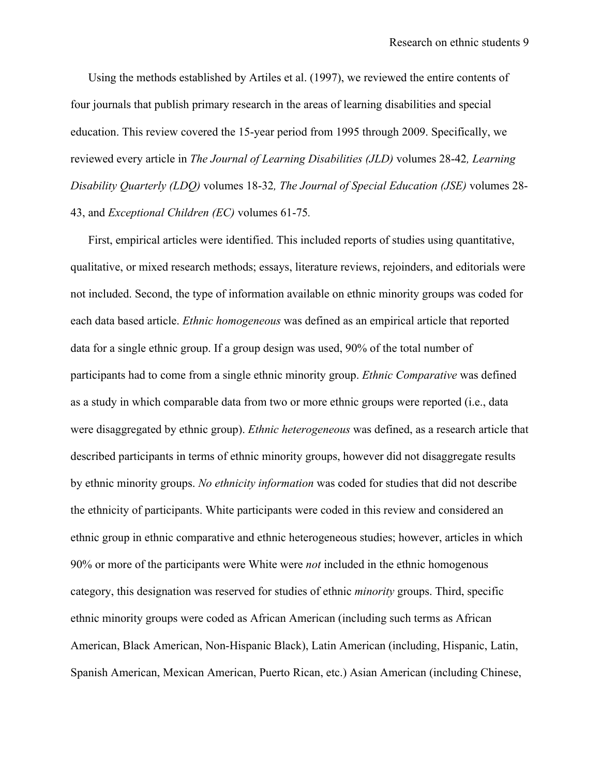Using the methods established by Artiles et al. (1997), we reviewed the entire contents of four journals that publish primary research in the areas of learning disabilities and special education. This review covered the 15-year period from 1995 through 2009. Specifically, we reviewed every article in *The Journal of Learning Disabilities (JLD)* volumes 28-42*, Learning Disability Quarterly (LDQ)* volumes 18-32*, The Journal of Special Education (JSE)* volumes 28- 43, and *Exceptional Children (EC)* volumes 61-75*.*

First, empirical articles were identified. This included reports of studies using quantitative, qualitative, or mixed research methods; essays, literature reviews, rejoinders, and editorials were not included. Second, the type of information available on ethnic minority groups was coded for each data based article. *Ethnic homogeneous* was defined as an empirical article that reported data for a single ethnic group. If a group design was used, 90% of the total number of participants had to come from a single ethnic minority group. *Ethnic Comparative* was defined as a study in which comparable data from two or more ethnic groups were reported (i.e., data were disaggregated by ethnic group). *Ethnic heterogeneous* was defined, as a research article that described participants in terms of ethnic minority groups, however did not disaggregate results by ethnic minority groups. *No ethnicity information* was coded for studies that did not describe the ethnicity of participants. White participants were coded in this review and considered an ethnic group in ethnic comparative and ethnic heterogeneous studies; however, articles in which 90% or more of the participants were White were *not* included in the ethnic homogenous category, this designation was reserved for studies of ethnic *minority* groups. Third, specific ethnic minority groups were coded as African American (including such terms as African American, Black American, Non-Hispanic Black), Latin American (including, Hispanic, Latin, Spanish American, Mexican American, Puerto Rican, etc.) Asian American (including Chinese,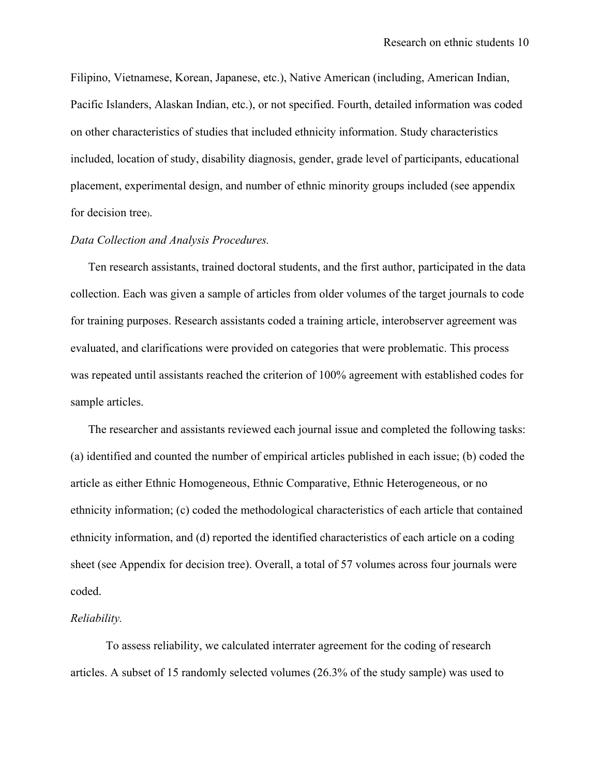Filipino, Vietnamese, Korean, Japanese, etc.), Native American (including, American Indian, Pacific Islanders, Alaskan Indian, etc.), or not specified. Fourth, detailed information was coded on other characteristics of studies that included ethnicity information. Study characteristics included, location of study, disability diagnosis, gender, grade level of participants, educational placement, experimental design, and number of ethnic minority groups included (see appendix for decision tree).

### *Data Collection and Analysis Procedures.*

Ten research assistants, trained doctoral students, and the first author, participated in the data collection. Each was given a sample of articles from older volumes of the target journals to code for training purposes. Research assistants coded a training article, interobserver agreement was evaluated, and clarifications were provided on categories that were problematic. This process was repeated until assistants reached the criterion of 100% agreement with established codes for sample articles.

The researcher and assistants reviewed each journal issue and completed the following tasks: (a) identified and counted the number of empirical articles published in each issue; (b) coded the article as either Ethnic Homogeneous, Ethnic Comparative, Ethnic Heterogeneous, or no ethnicity information; (c) coded the methodological characteristics of each article that contained ethnicity information, and (d) reported the identified characteristics of each article on a coding sheet (see Appendix for decision tree). Overall, a total of 57 volumes across four journals were coded.

#### *Reliability.*

To assess reliability, we calculated interrater agreement for the coding of research articles. A subset of 15 randomly selected volumes (26.3% of the study sample) was used to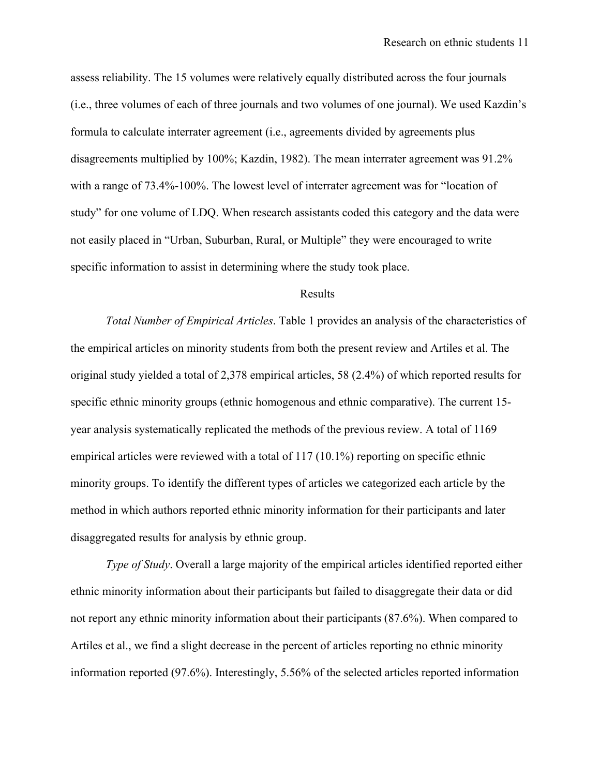assess reliability. The 15 volumes were relatively equally distributed across the four journals (i.e., three volumes of each of three journals and two volumes of one journal). We used Kazdin's formula to calculate interrater agreement (i.e., agreements divided by agreements plus disagreements multiplied by 100%; Kazdin, 1982). The mean interrater agreement was 91.2% with a range of 73.4%-100%. The lowest level of interrater agreement was for "location of study" for one volume of LDQ. When research assistants coded this category and the data were not easily placed in "Urban, Suburban, Rural, or Multiple" they were encouraged to write specific information to assist in determining where the study took place.

#### Results

*Total Number of Empirical Articles*. Table 1 provides an analysis of the characteristics of the empirical articles on minority students from both the present review and Artiles et al. The original study yielded a total of 2,378 empirical articles, 58 (2.4%) of which reported results for specific ethnic minority groups (ethnic homogenous and ethnic comparative). The current 15 year analysis systematically replicated the methods of the previous review. A total of 1169 empirical articles were reviewed with a total of 117 (10.1%) reporting on specific ethnic minority groups. To identify the different types of articles we categorized each article by the method in which authors reported ethnic minority information for their participants and later disaggregated results for analysis by ethnic group.

*Type of Study*. Overall a large majority of the empirical articles identified reported either ethnic minority information about their participants but failed to disaggregate their data or did not report any ethnic minority information about their participants (87.6%). When compared to Artiles et al., we find a slight decrease in the percent of articles reporting no ethnic minority information reported (97.6%). Interestingly, 5.56% of the selected articles reported information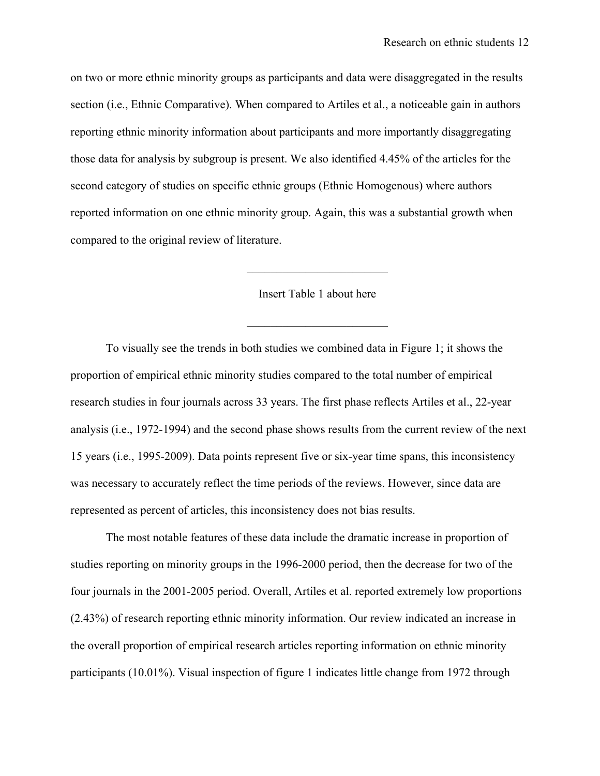on two or more ethnic minority groups as participants and data were disaggregated in the results section (i.e., Ethnic Comparative). When compared to Artiles et al., a noticeable gain in authors reporting ethnic minority information about participants and more importantly disaggregating those data for analysis by subgroup is present. We also identified 4.45% of the articles for the second category of studies on specific ethnic groups (Ethnic Homogenous) where authors reported information on one ethnic minority group. Again, this was a substantial growth when compared to the original review of literature.

#### Insert Table 1 about here

 $\mathcal{L}_\text{max}$  , where  $\mathcal{L}_\text{max}$  , we have the set of  $\mathcal{L}_\text{max}$ 

 $\mathcal{L}_\text{max}$  , where  $\mathcal{L}_\text{max}$  , we have the set of  $\mathcal{L}_\text{max}$ 

To visually see the trends in both studies we combined data in Figure 1; it shows the proportion of empirical ethnic minority studies compared to the total number of empirical research studies in four journals across 33 years. The first phase reflects Artiles et al., 22-year analysis (i.e., 1972-1994) and the second phase shows results from the current review of the next 15 years (i.e., 1995-2009). Data points represent five or six-year time spans, this inconsistency was necessary to accurately reflect the time periods of the reviews. However, since data are represented as percent of articles, this inconsistency does not bias results.

The most notable features of these data include the dramatic increase in proportion of studies reporting on minority groups in the 1996-2000 period, then the decrease for two of the four journals in the 2001-2005 period. Overall, Artiles et al. reported extremely low proportions (2.43%) of research reporting ethnic minority information. Our review indicated an increase in the overall proportion of empirical research articles reporting information on ethnic minority participants (10.01%). Visual inspection of figure 1 indicates little change from 1972 through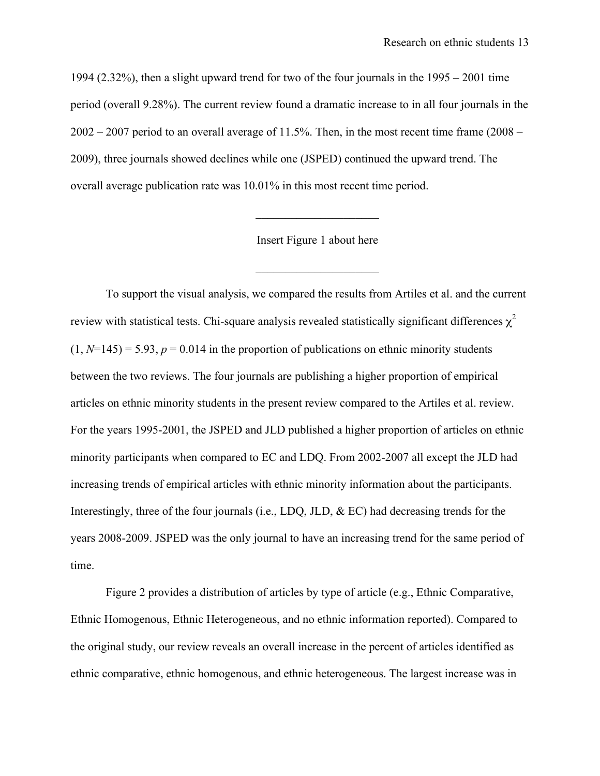1994 (2.32%), then a slight upward trend for two of the four journals in the 1995 – 2001 time period (overall 9.28%). The current review found a dramatic increase to in all four journals in the  $2002 - 2007$  period to an overall average of 11.5%. Then, in the most recent time frame (2008 – 2009), three journals showed declines while one (JSPED) continued the upward trend. The overall average publication rate was 10.01% in this most recent time period.

Insert Figure 1 about here

 $\mathcal{L}_\text{max}$  , where  $\mathcal{L}_\text{max}$  , we have the set of the set of the set of the set of the set of the set of the set of the set of the set of the set of the set of the set of the set of the set of the set of the set of

 $\mathcal{L}_\text{max}$  , where  $\mathcal{L}_\text{max}$  , we have the set of the set of the set of the set of the set of the set of the set of the set of the set of the set of the set of the set of the set of the set of the set of the set of

To support the visual analysis, we compared the results from Artiles et al. and the current review with statistical tests. Chi-square analysis revealed statistically significant differences  $\chi^2$  $(1, N=145) = 5.93$ ,  $p = 0.014$  in the proportion of publications on ethnic minority students between the two reviews. The four journals are publishing a higher proportion of empirical articles on ethnic minority students in the present review compared to the Artiles et al. review. For the years 1995-2001, the JSPED and JLD published a higher proportion of articles on ethnic minority participants when compared to EC and LDQ. From 2002-2007 all except the JLD had increasing trends of empirical articles with ethnic minority information about the participants. Interestingly, three of the four journals (i.e., LDQ, JLD,  $\&$  EC) had decreasing trends for the years 2008-2009. JSPED was the only journal to have an increasing trend for the same period of time.

Figure 2 provides a distribution of articles by type of article (e.g., Ethnic Comparative, Ethnic Homogenous, Ethnic Heterogeneous, and no ethnic information reported). Compared to the original study, our review reveals an overall increase in the percent of articles identified as ethnic comparative, ethnic homogenous, and ethnic heterogeneous. The largest increase was in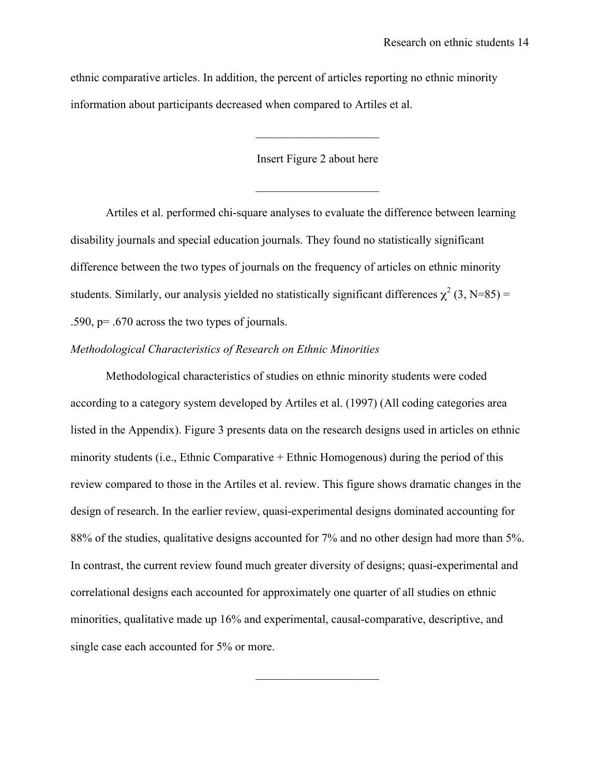ethnic comparative articles. In addition, the percent of articles reporting no ethnic minority information about participants decreased when compared to Artiles et al.

Insert Figure 2 about here

 $\mathcal{L}_\text{max}$  , where  $\mathcal{L}_\text{max}$  , we have the set of the set of the set of the set of the set of the set of the set of the set of the set of the set of the set of the set of the set of the set of the set of the set of

 $\mathcal{L}_\text{max}$  , where  $\mathcal{L}_\text{max}$  , we have the set of the set of the set of the set of the set of the set of the set of the set of the set of the set of the set of the set of the set of the set of the set of the set of

Artiles et al. performed chi-square analyses to evaluate the difference between learning disability journals and special education journals. They found no statistically significant difference between the two types of journals on the frequency of articles on ethnic minority students. Similarly, our analysis yielded no statistically significant differences  $\chi^2$  (3, N=85) = .590, p= .670 across the two types of journals.

### *Methodological Characteristics of Research on Ethnic Minorities*

Methodological characteristics of studies on ethnic minority students were coded according to a category system developed by Artiles et al. (1997) (All coding categories area listed in the Appendix). Figure 3 presents data on the research designs used in articles on ethnic minority students (i.e., Ethnic Comparative + Ethnic Homogenous) during the period of this review compared to those in the Artiles et al. review. This figure shows dramatic changes in the design of research. In the earlier review, quasi-experimental designs dominated accounting for 88% of the studies, qualitative designs accounted for 7% and no other design had more than 5%. In contrast, the current review found much greater diversity of designs; quasi-experimental and correlational designs each accounted for approximately one quarter of all studies on ethnic minorities, qualitative made up 16% and experimental, causal-comparative, descriptive, and single case each accounted for 5% or more.

 $\mathcal{L}_\text{max}$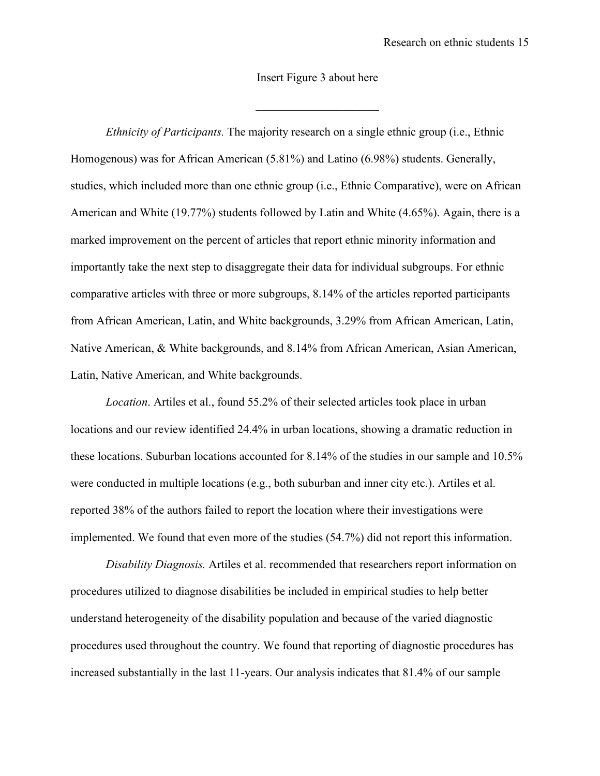#### Insert Figure 3 about here

 $\mathcal{L}_\text{max}$  , where  $\mathcal{L}_\text{max}$  , we have the set of the set of the set of the set of the set of the set of the set of the set of the set of the set of the set of the set of the set of the set of the set of the set of

*Ethnicity of Participants.* The majority research on a single ethnic group (i.e., Ethnic Homogenous) was for African American (5.81%) and Latino (6.98%) students. Generally, studies, which included more than one ethnic group (i.e., Ethnic Comparative), were on African American and White (19.77%) students followed by Latin and White (4.65%). Again, there is a marked improvement on the percent of articles that report ethnic minority information and importantly take the next step to disaggregate their data for individual subgroups. For ethnic comparative articles with three or more subgroups, 8.14% of the articles reported participants from African American, Latin, and White backgrounds, 3.29% from African American, Latin, Native American, & White backgrounds, and 8.14% from African American, Asian American, Latin, Native American, and White backgrounds.

*Location*. Artiles et al., found 55.2% of their selected articles took place in urban locations and our review identified 24.4% in urban locations, showing a dramatic reduction in these locations. Suburban locations accounted for 8.14% of the studies in our sample and 10.5% were conducted in multiple locations (e.g., both suburban and inner city etc.). Artiles et al. reported 38% of the authors failed to report the location where their investigations were implemented. We found that even more of the studies (54.7%) did not report this information.

*Disability Diagnosis.* Artiles et al. recommended that researchers report information on procedures utilized to diagnose disabilities be included in empirical studies to help better understand heterogeneity of the disability population and because of the varied diagnostic procedures used throughout the country. We found that reporting of diagnostic procedures has increased substantially in the last 11-years. Our analysis indicates that 81.4% of our sample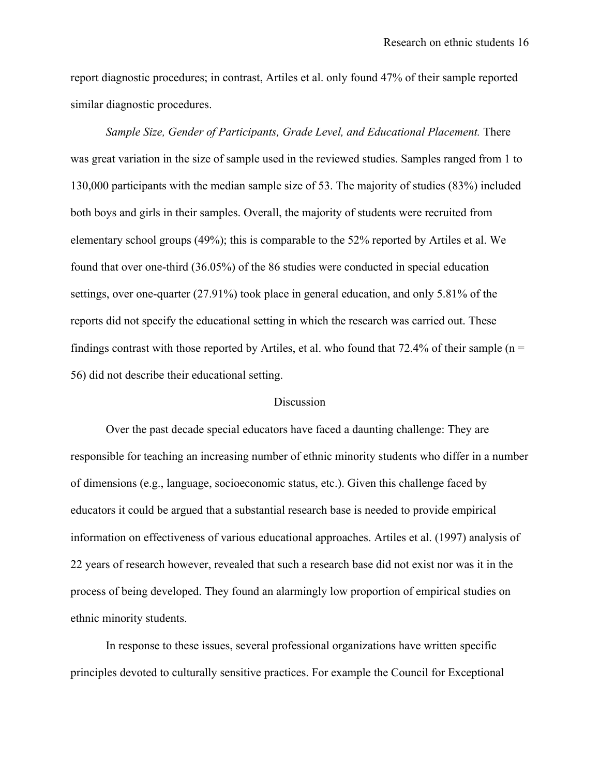report diagnostic procedures; in contrast, Artiles et al. only found 47% of their sample reported similar diagnostic procedures.

*Sample Size, Gender of Participants, Grade Level, and Educational Placement.* There was great variation in the size of sample used in the reviewed studies. Samples ranged from 1 to 130,000 participants with the median sample size of 53. The majority of studies (83%) included both boys and girls in their samples. Overall, the majority of students were recruited from elementary school groups (49%); this is comparable to the 52% reported by Artiles et al. We found that over one-third (36.05%) of the 86 studies were conducted in special education settings, over one-quarter (27.91%) took place in general education, and only 5.81% of the reports did not specify the educational setting in which the research was carried out. These findings contrast with those reported by Artiles, et al. who found that  $72.4\%$  of their sample (n = 56) did not describe their educational setting.

#### **Discussion**

Over the past decade special educators have faced a daunting challenge: They are responsible for teaching an increasing number of ethnic minority students who differ in a number of dimensions (e.g., language, socioeconomic status, etc.). Given this challenge faced by educators it could be argued that a substantial research base is needed to provide empirical information on effectiveness of various educational approaches. Artiles et al. (1997) analysis of 22 years of research however, revealed that such a research base did not exist nor was it in the process of being developed. They found an alarmingly low proportion of empirical studies on ethnic minority students.

In response to these issues, several professional organizations have written specific principles devoted to culturally sensitive practices. For example the Council for Exceptional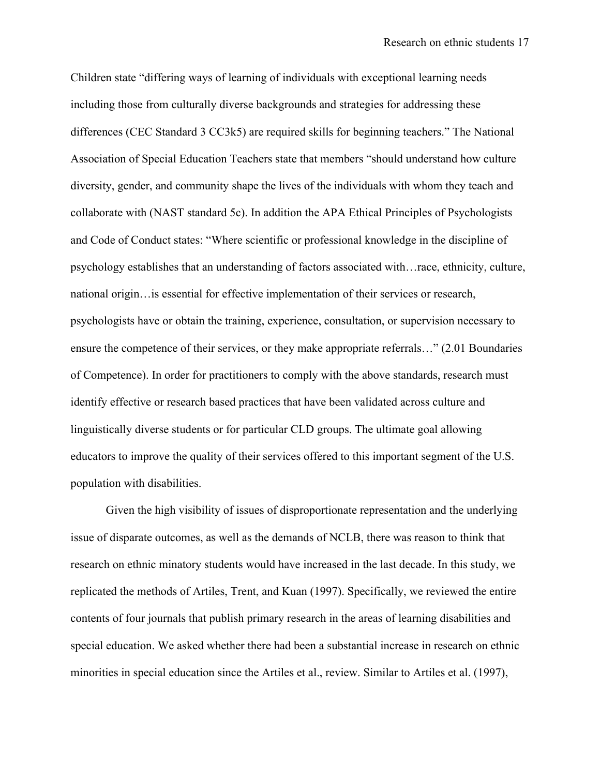Children state "differing ways of learning of individuals with exceptional learning needs including those from culturally diverse backgrounds and strategies for addressing these differences (CEC Standard 3 CC3k5) are required skills for beginning teachers." The National Association of Special Education Teachers state that members "should understand how culture diversity, gender, and community shape the lives of the individuals with whom they teach and collaborate with (NAST standard 5c). In addition the APA Ethical Principles of Psychologists and Code of Conduct states: "Where scientific or professional knowledge in the discipline of psychology establishes that an understanding of factors associated with…race, ethnicity, culture, national origin…is essential for effective implementation of their services or research, psychologists have or obtain the training, experience, consultation, or supervision necessary to ensure the competence of their services, or they make appropriate referrals…" (2.01 Boundaries of Competence). In order for practitioners to comply with the above standards, research must identify effective or research based practices that have been validated across culture and linguistically diverse students or for particular CLD groups. The ultimate goal allowing educators to improve the quality of their services offered to this important segment of the U.S. population with disabilities.

Given the high visibility of issues of disproportionate representation and the underlying issue of disparate outcomes, as well as the demands of NCLB, there was reason to think that research on ethnic minatory students would have increased in the last decade. In this study, we replicated the methods of Artiles, Trent, and Kuan (1997). Specifically, we reviewed the entire contents of four journals that publish primary research in the areas of learning disabilities and special education. We asked whether there had been a substantial increase in research on ethnic minorities in special education since the Artiles et al., review. Similar to Artiles et al. (1997),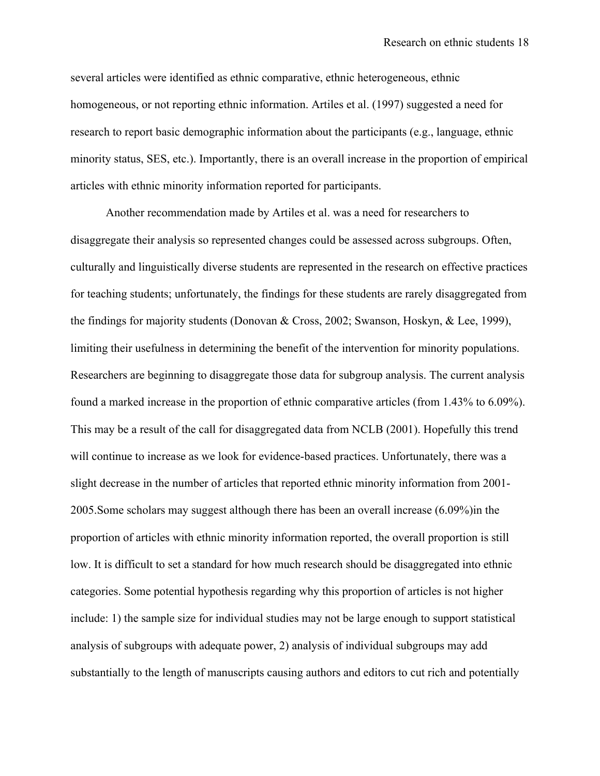several articles were identified as ethnic comparative, ethnic heterogeneous, ethnic homogeneous, or not reporting ethnic information. Artiles et al. (1997) suggested a need for research to report basic demographic information about the participants (e.g., language, ethnic minority status, SES, etc.). Importantly, there is an overall increase in the proportion of empirical articles with ethnic minority information reported for participants.

Another recommendation made by Artiles et al. was a need for researchers to disaggregate their analysis so represented changes could be assessed across subgroups. Often, culturally and linguistically diverse students are represented in the research on effective practices for teaching students; unfortunately, the findings for these students are rarely disaggregated from the findings for majority students (Donovan & Cross, 2002; Swanson, Hoskyn, & Lee, 1999), limiting their usefulness in determining the benefit of the intervention for minority populations. Researchers are beginning to disaggregate those data for subgroup analysis. The current analysis found a marked increase in the proportion of ethnic comparative articles (from 1.43% to 6.09%). This may be a result of the call for disaggregated data from NCLB (2001). Hopefully this trend will continue to increase as we look for evidence-based practices. Unfortunately, there was a slight decrease in the number of articles that reported ethnic minority information from 2001- 2005.Some scholars may suggest although there has been an overall increase (6.09%)in the proportion of articles with ethnic minority information reported, the overall proportion is still low. It is difficult to set a standard for how much research should be disaggregated into ethnic categories. Some potential hypothesis regarding why this proportion of articles is not higher include: 1) the sample size for individual studies may not be large enough to support statistical analysis of subgroups with adequate power, 2) analysis of individual subgroups may add substantially to the length of manuscripts causing authors and editors to cut rich and potentially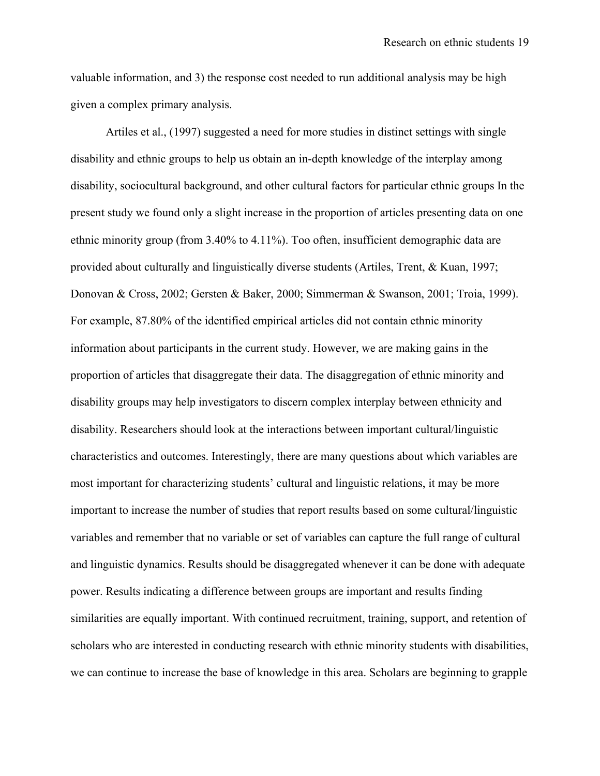valuable information, and 3) the response cost needed to run additional analysis may be high given a complex primary analysis.

Artiles et al., (1997) suggested a need for more studies in distinct settings with single disability and ethnic groups to help us obtain an in-depth knowledge of the interplay among disability, sociocultural background, and other cultural factors for particular ethnic groups In the present study we found only a slight increase in the proportion of articles presenting data on one ethnic minority group (from 3.40% to 4.11%). Too often, insufficient demographic data are provided about culturally and linguistically diverse students (Artiles, Trent, & Kuan, 1997; Donovan & Cross, 2002; Gersten & Baker, 2000; Simmerman & Swanson, 2001; Troia, 1999). For example, 87.80% of the identified empirical articles did not contain ethnic minority information about participants in the current study. However, we are making gains in the proportion of articles that disaggregate their data. The disaggregation of ethnic minority and disability groups may help investigators to discern complex interplay between ethnicity and disability. Researchers should look at the interactions between important cultural/linguistic characteristics and outcomes. Interestingly, there are many questions about which variables are most important for characterizing students' cultural and linguistic relations, it may be more important to increase the number of studies that report results based on some cultural/linguistic variables and remember that no variable or set of variables can capture the full range of cultural and linguistic dynamics. Results should be disaggregated whenever it can be done with adequate power. Results indicating a difference between groups are important and results finding similarities are equally important. With continued recruitment, training, support, and retention of scholars who are interested in conducting research with ethnic minority students with disabilities, we can continue to increase the base of knowledge in this area. Scholars are beginning to grapple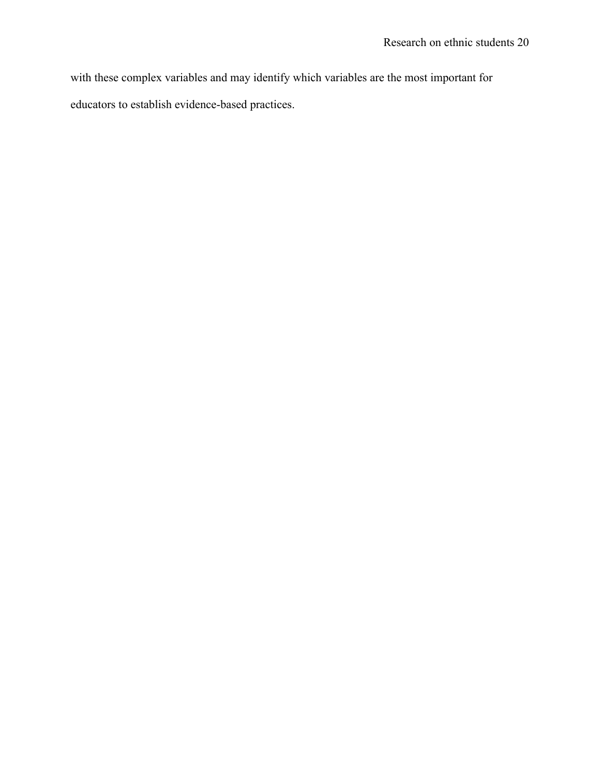with these complex variables and may identify which variables are the most important for educators to establish evidence-based practices.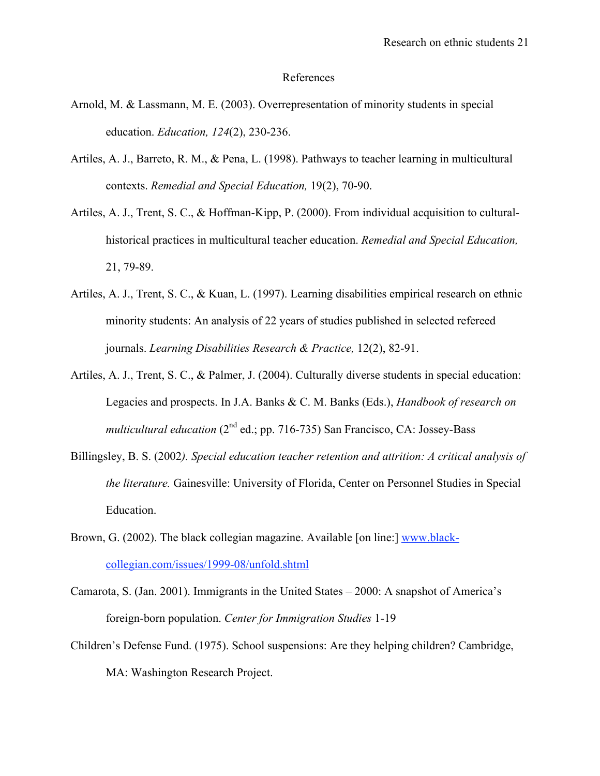#### References

- Arnold, M. & Lassmann, M. E. (2003). Overrepresentation of minority students in special education. *Education, 124*(2), 230-236.
- Artiles, A. J., Barreto, R. M., & Pena, L. (1998). Pathways to teacher learning in multicultural contexts. *Remedial and Special Education,* 19(2), 70-90.
- Artiles, A. J., Trent, S. C., & Hoffman-Kipp, P. (2000). From individual acquisition to culturalhistorical practices in multicultural teacher education. *Remedial and Special Education,*  21, 79-89.
- Artiles, A. J., Trent, S. C., & Kuan, L. (1997). Learning disabilities empirical research on ethnic minority students: An analysis of 22 years of studies published in selected refereed journals. *Learning Disabilities Research & Practice,* 12(2), 82-91.
- Artiles, A. J., Trent, S. C., & Palmer, J. (2004). Culturally diverse students in special education: Legacies and prospects. In J.A. Banks & C. M. Banks (Eds.), *Handbook of research on multicultural education* (2<sup>nd</sup> ed.; pp. 716-735) San Francisco, CA: Jossey-Bass
- Billingsley, B. S. (2002*). Special education teacher retention and attrition: A critical analysis of the literature.* Gainesville: University of Florida, Center on Personnel Studies in Special Education.
- Brown, G. (2002). The black collegian magazine. Available [on line:] www.blackcollegian.com/issues/1999-08/unfold.shtml
- Camarota, S. (Jan. 2001). Immigrants in the United States 2000: A snapshot of America's foreign-born population. *Center for Immigration Studies* 1-19
- Children's Defense Fund. (1975). School suspensions: Are they helping children? Cambridge, MA: Washington Research Project.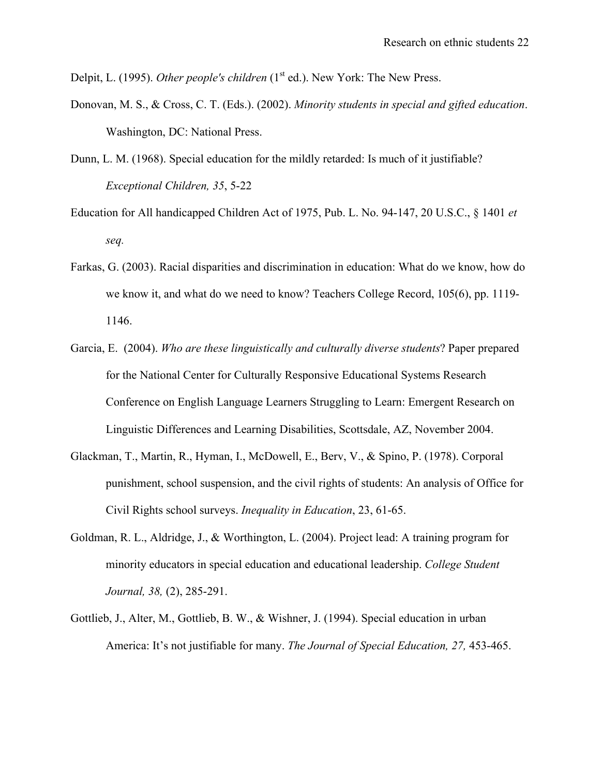Delpit, L. (1995). *Other people's children* (1<sup>st</sup> ed.). New York: The New Press.

- Donovan, M. S., & Cross, C. T. (Eds.). (2002). *Minority students in special and gifted education*. Washington, DC: National Press.
- Dunn, L. M. (1968). Special education for the mildly retarded: Is much of it justifiable? *Exceptional Children, 35*, 5-22
- Education for All handicapped Children Act of 1975, Pub. L. No. 94-147, 20 U.S.C., § 1401 *et seq.*
- Farkas, G. (2003). Racial disparities and discrimination in education: What do we know, how do we know it, and what do we need to know? Teachers College Record, 105(6), pp. 1119- 1146.
- Garcia, E. (2004). *Who are these linguistically and culturally diverse students*? Paper prepared for the National Center for Culturally Responsive Educational Systems Research Conference on English Language Learners Struggling to Learn: Emergent Research on Linguistic Differences and Learning Disabilities, Scottsdale, AZ, November 2004.
- Glackman, T., Martin, R., Hyman, I., McDowell, E., Berv, V., & Spino, P. (1978). Corporal punishment, school suspension, and the civil rights of students: An analysis of Office for Civil Rights school surveys. *Inequality in Education*, 23, 61-65.
- Goldman, R. L., Aldridge, J., & Worthington, L. (2004). Project lead: A training program for minority educators in special education and educational leadership. *College Student Journal, 38,* (2), 285-291.
- Gottlieb, J., Alter, M., Gottlieb, B. W., & Wishner, J. (1994). Special education in urban America: It's not justifiable for many. *The Journal of Special Education, 27,* 453-465.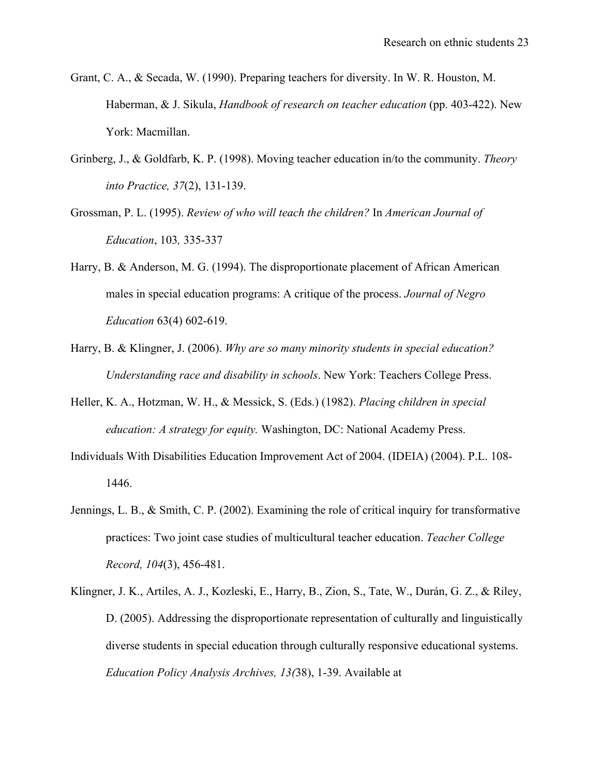- Grant, C. A., & Secada, W. (1990). Preparing teachers for diversity. In W. R. Houston, M. Haberman, & J. Sikula, *Handbook of research on teacher education* (pp. 403-422). New York: Macmillan.
- Grinberg, J., & Goldfarb, K. P. (1998). Moving teacher education in/to the community. *Theory into Practice, 37*(2), 131-139.
- Grossman, P. L. (1995). *Review of who will teach the children?* In *American Journal of Education*, 103*,* 335-337
- Harry, B. & Anderson, M. G. (1994). The disproportionate placement of African American males in special education programs: A critique of the process. *Journal of Negro Education* 63(4) 602-619.
- Harry, B. & Klingner, J. (2006). *Why are so many minority students in special education? Understanding race and disability in schools*. New York: Teachers College Press.
- Heller, K. A., Hotzman, W. H., & Messick, S. (Eds.) (1982). *Placing children in special education: A strategy for equity.* Washington, DC: National Academy Press.
- Individuals With Disabilities Education Improvement Act of 2004. (IDEIA) (2004). P.L. 108- 1446.
- Jennings, L. B., & Smith, C. P. (2002). Examining the role of critical inquiry for transformative practices: Two joint case studies of multicultural teacher education. *Teacher College Record, 104*(3), 456-481.
- Klingner, J. K., Artiles, A. J., Kozleski, E., Harry, B., Zion, S., Tate, W., Durán, G. Z., & Riley, D. (2005). Addressing the disproportionate representation of culturally and linguistically diverse students in special education through culturally responsive educational systems. *Education Policy Analysis Archives, 13(*38), 1-39. Available at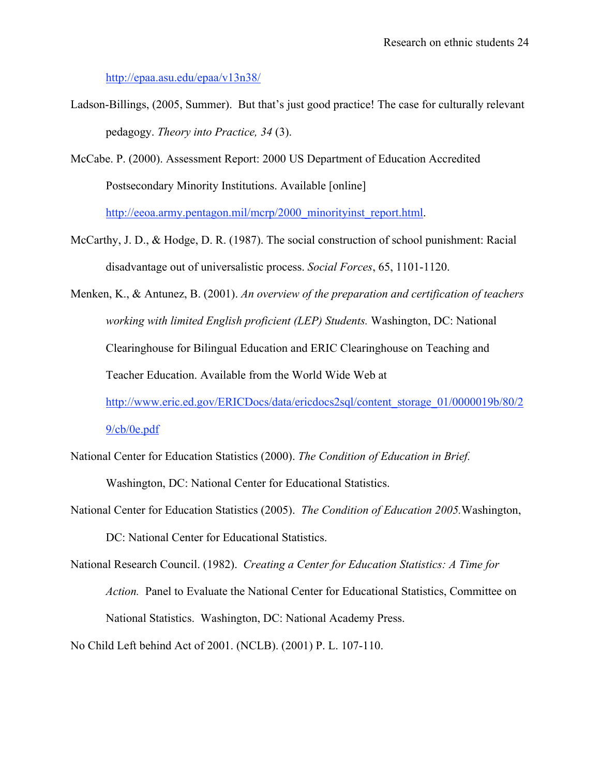http://epaa.asu.edu/epaa/v13n38/

- Ladson-Billings, (2005, Summer). But that's just good practice! The case for culturally relevant pedagogy. *Theory into Practice, 34* (3).
- McCabe. P. (2000). Assessment Report: 2000 US Department of Education Accredited Postsecondary Minority Institutions. Available [online]

http://eeoa.army.pentagon.mil/mcrp/2000\_minorityinst\_report.html.

- McCarthy, J. D., & Hodge, D. R. (1987). The social construction of school punishment: Racial disadvantage out of universalistic process. *Social Forces*, 65, 1101-1120.
- Menken, K., & Antunez, B. (2001). *An overview of the preparation and certification of teachers working with limited English proficient (LEP) Students.* Washington, DC: National Clearinghouse for Bilingual Education and ERIC Clearinghouse on Teaching and Teacher Education. Available from the World Wide Web at http://www.eric.ed.gov/ERICDocs/data/ericdocs2sql/content\_storage\_01/0000019b/80/2 9/cb/0e.pdf
- National Center for Education Statistics (2000). *The Condition of Education in Brief.*  Washington, DC: National Center for Educational Statistics.
- National Center for Education Statistics (2005). *The Condition of Education 2005.*Washington, DC: National Center for Educational Statistics.
- National Research Council. (1982). *Creating a Center for Education Statistics: A Time for Action.* Panel to Evaluate the National Center for Educational Statistics, Committee on National Statistics. Washington, DC: National Academy Press.

No Child Left behind Act of 2001. (NCLB). (2001) P. L. 107-110.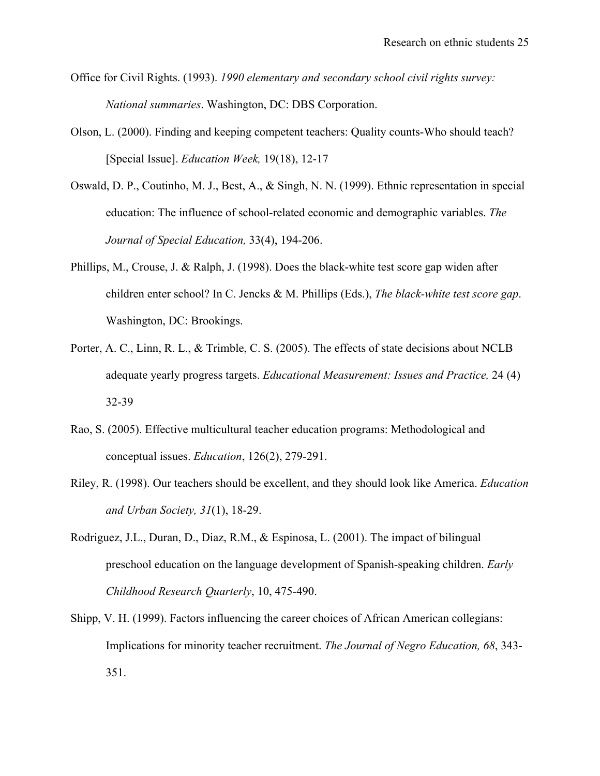- Office for Civil Rights. (1993). *1990 elementary and secondary school civil rights survey: National summaries*. Washington, DC: DBS Corporation.
- Olson, L. (2000). Finding and keeping competent teachers: Quality counts-Who should teach? [Special Issue]. *Education Week,* 19(18), 12-17
- Oswald, D. P., Coutinho, M. J., Best, A., & Singh, N. N. (1999). Ethnic representation in special education: The influence of school-related economic and demographic variables. *The Journal of Special Education,* 33(4), 194-206.
- Phillips, M., Crouse, J. & Ralph, J. (1998). Does the black-white test score gap widen after children enter school? In C. Jencks & M. Phillips (Eds.), *The black-white test score gap*. Washington, DC: Brookings.
- Porter, A. C., Linn, R. L., & Trimble, C. S. (2005). The effects of state decisions about NCLB adequate yearly progress targets. *Educational Measurement: Issues and Practice,* 24 (4) 32-39
- Rao, S. (2005). Effective multicultural teacher education programs: Methodological and conceptual issues. *Education*, 126(2), 279-291.
- Riley, R. (1998). Our teachers should be excellent, and they should look like America. *Education and Urban Society, 31*(1), 18-29.
- Rodriguez, J.L., Duran, D., Diaz, R.M., & Espinosa, L. (2001). The impact of bilingual preschool education on the language development of Spanish-speaking children. *Early Childhood Research Quarterly*, 10, 475-490.
- Shipp, V. H. (1999). Factors influencing the career choices of African American collegians: Implications for minority teacher recruitment. *The Journal of Negro Education, 68*, 343- 351.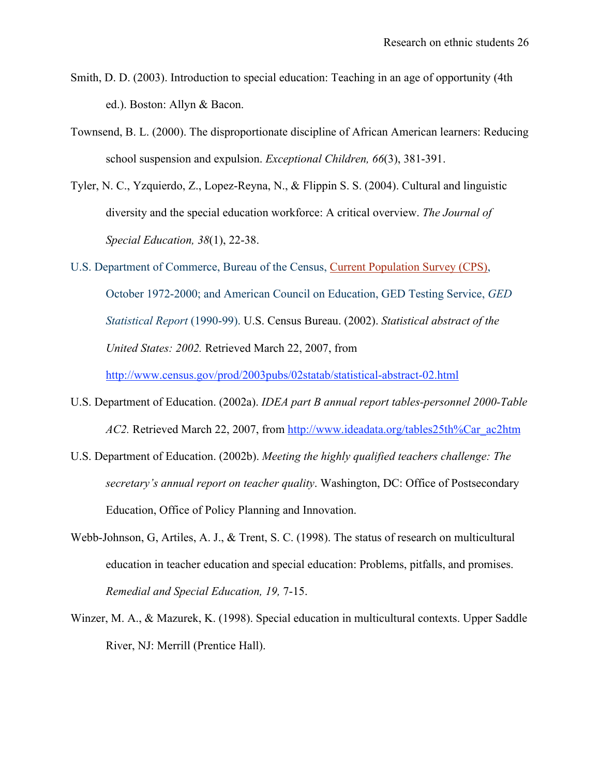- Smith, D. D. (2003). Introduction to special education: Teaching in an age of opportunity (4th ed.). Boston: Allyn & Bacon.
- Townsend, B. L. (2000). The disproportionate discipline of African American learners: Reducing school suspension and expulsion. *Exceptional Children, 66*(3), 381-391.
- Tyler, N. C., Yzquierdo, Z., Lopez-Reyna, N., & Flippin S. S. (2004). Cultural and linguistic diversity and the special education workforce: A critical overview. *The Journal of Special Education, 38*(1), 22-38.
- U.S. Department of Commerce, Bureau of the Census, Current Population Survey (CPS), October 1972-2000; and American Council on Education, GED Testing Service, *GED Statistical Report* (1990-99). U.S. Census Bureau. (2002). *Statistical abstract of the United States: 2002.* Retrieved March 22, 2007, from

http://www.census.gov/prod/2003pubs/02statab/statistical-abstract-02.html

- U.S. Department of Education. (2002a). *IDEA part B annual report tables-personnel 2000-Table AC2.* Retrieved March 22, 2007, from http://www.ideadata.org/tables25th%Car\_ac2htm
- U.S. Department of Education. (2002b). *Meeting the highly qualified teachers challenge: The secretary's annual report on teacher quality*. Washington, DC: Office of Postsecondary Education, Office of Policy Planning and Innovation.
- Webb-Johnson, G, Artiles, A. J., & Trent, S. C. (1998). The status of research on multicultural education in teacher education and special education: Problems, pitfalls, and promises. *Remedial and Special Education, 19,* 7-15.
- Winzer, M. A., & Mazurek, K. (1998). Special education in multicultural contexts. Upper Saddle River, NJ: Merrill (Prentice Hall).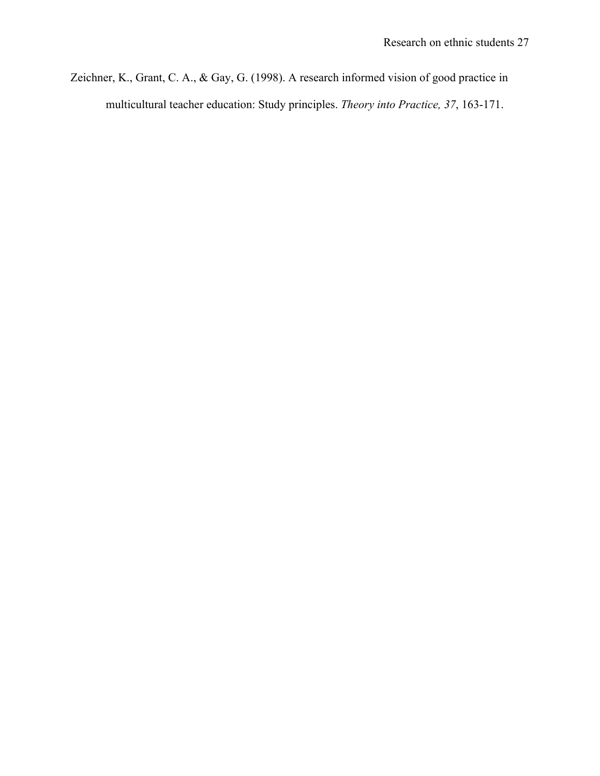Zeichner, K., Grant, C. A., & Gay, G. (1998). A research informed vision of good practice in multicultural teacher education: Study principles. *Theory into Practice, 37*, 163-171.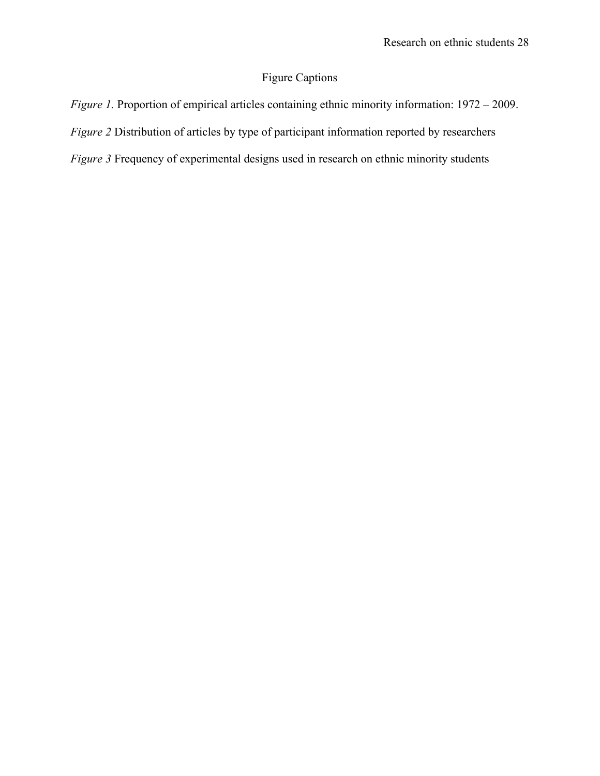# Figure Captions

*Figure 1.* Proportion of empirical articles containing ethnic minority information:  $1972 - 2009$ . *Figure 2* Distribution of articles by type of participant information reported by researchers *Figure 3* Frequency of experimental designs used in research on ethnic minority students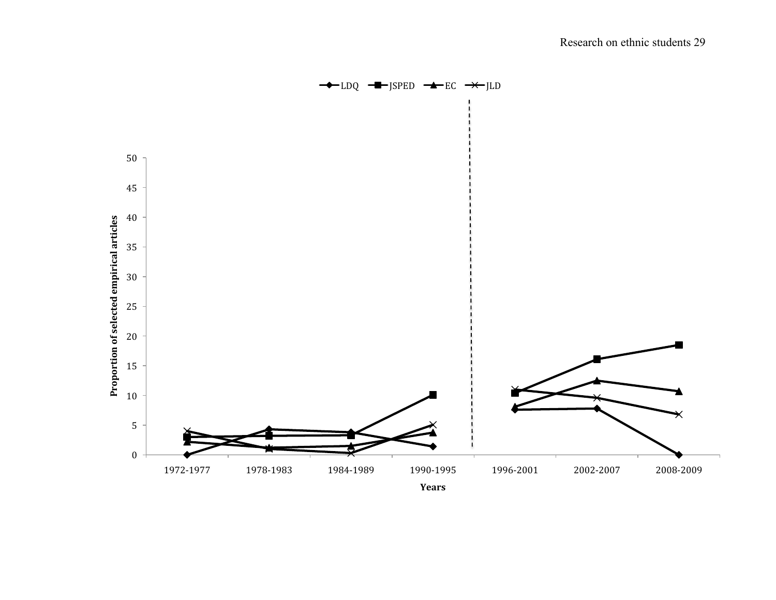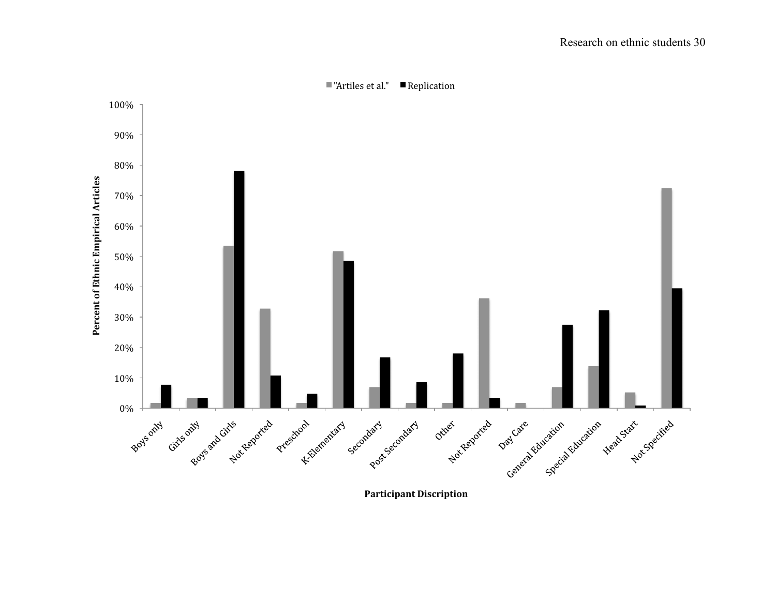

**Participant Discription**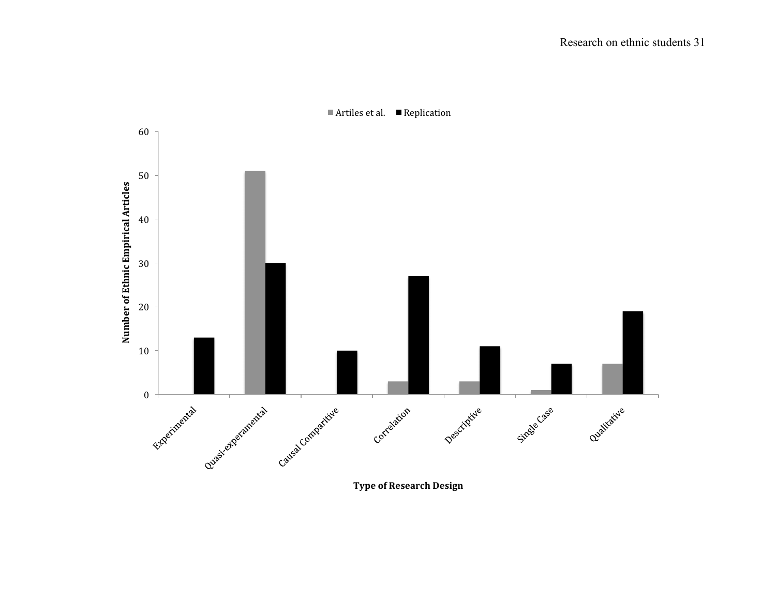

■ Artiles et al. ■ Replication

**Type of Research Design**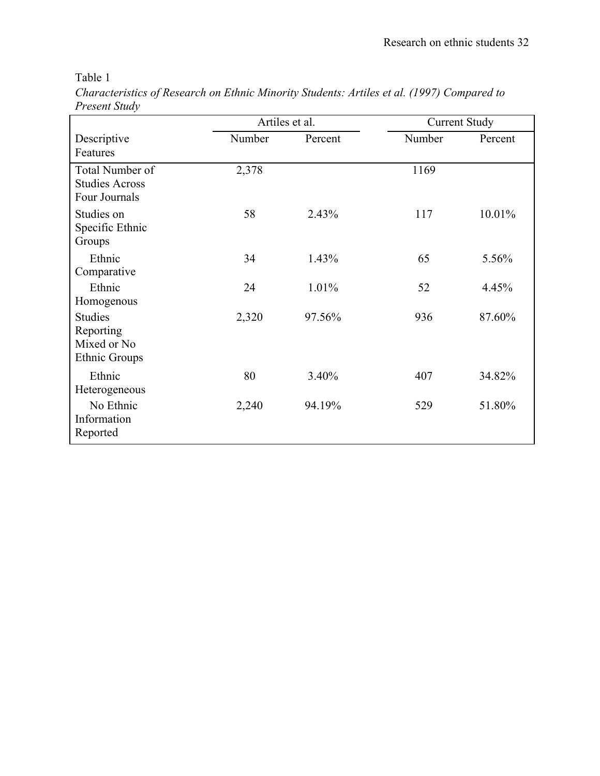Table 1

|               | Characteristics of Research on Ethnic Minority Students: Artiles et al. (1997) Compared to |  |
|---------------|--------------------------------------------------------------------------------------------|--|
| Present Study |                                                                                            |  |

|                                                                    | Artiles et al. |         | <b>Current Study</b> |         |
|--------------------------------------------------------------------|----------------|---------|----------------------|---------|
| Descriptive<br>Features                                            | Number         | Percent | Number               | Percent |
| Total Number of<br><b>Studies Across</b><br>Four Journals          | 2,378          |         | 1169                 |         |
| Studies on<br>Specific Ethnic<br>Groups                            | 58             | 2.43%   | 117                  | 10.01%  |
| Ethnic<br>Comparative                                              | 34             | 1.43%   | 65                   | 5.56%   |
| Ethnic<br>Homogenous                                               | 24             | 1.01%   | 52                   | 4.45%   |
| <b>Studies</b><br>Reporting<br>Mixed or No<br><b>Ethnic Groups</b> | 2,320          | 97.56%  | 936                  | 87.60%  |
| Ethnic<br>Heterogeneous                                            | 80             | 3.40%   | 407                  | 34.82%  |
| No Ethnic<br>Information<br>Reported                               | 2,240          | 94.19%  | 529                  | 51.80%  |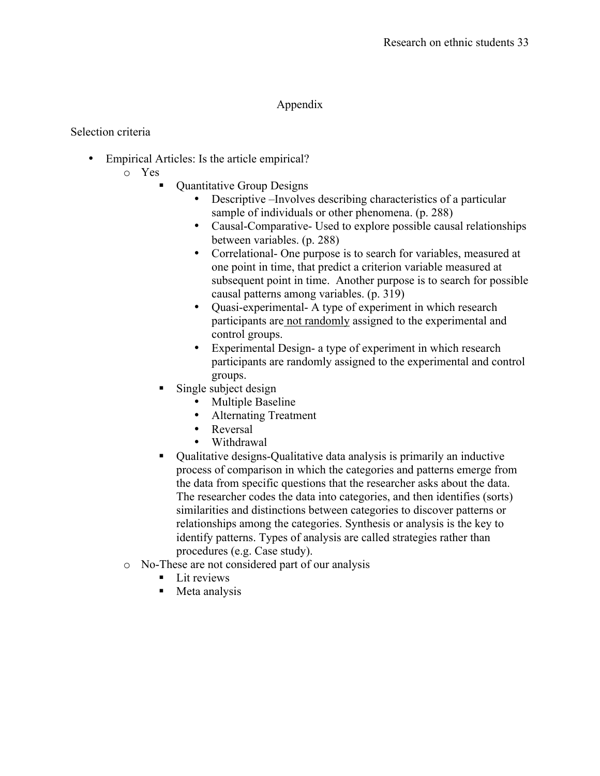## Appendix

## Selection criteria

- Empirical Articles: Is the article empirical?
	- o Yes
		- Quantitative Group Designs
			- Descriptive –Involves describing characteristics of a particular sample of individuals or other phenomena. (p. 288)
			- Causal-Comparative- Used to explore possible causal relationships between variables. (p. 288)
			- Correlational- One purpose is to search for variables, measured at one point in time, that predict a criterion variable measured at subsequent point in time. Another purpose is to search for possible causal patterns among variables. (p. 319)
			- Quasi-experimental- A type of experiment in which research participants are not randomly assigned to the experimental and control groups.
			- Experimental Design- a type of experiment in which research participants are randomly assigned to the experimental and control groups.
		- Single subject design
			- **Multiple Baseline**
			- Alternating Treatment
			- Reversal
			- Withdrawal
		- Qualitative designs-Qualitative data analysis is primarily an inductive process of comparison in which the categories and patterns emerge from the data from specific questions that the researcher asks about the data. The researcher codes the data into categories, and then identifies (sorts) similarities and distinctions between categories to discover patterns or relationships among the categories. Synthesis or analysis is the key to identify patterns. Types of analysis are called strategies rather than procedures (e.g. Case study).
	- o No-These are not considered part of our analysis
		- $\blacksquare$  Lit reviews
		- Meta analysis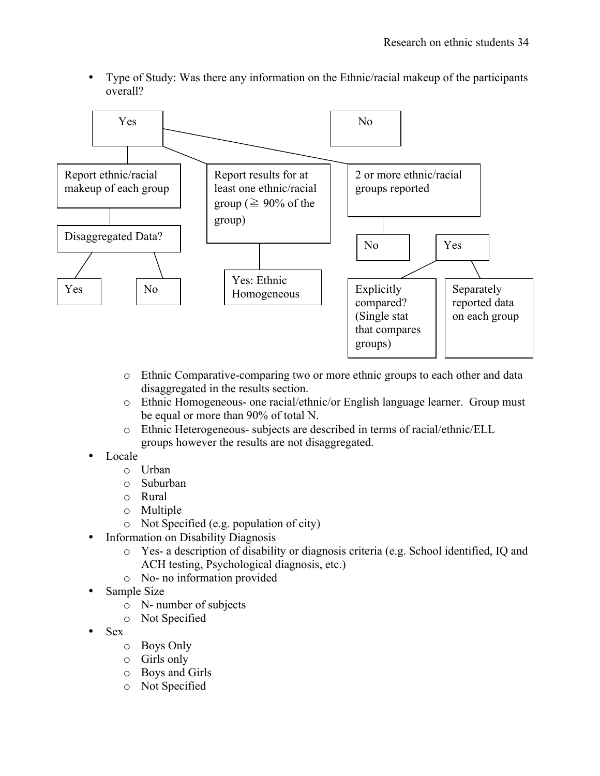• Type of Study: Was there any information on the Ethnic/racial makeup of the participants overall?



- o Ethnic Comparative-comparing two or more ethnic groups to each other and data disaggregated in the results section.
- o Ethnic Homogeneous- one racial/ethnic/or English language learner. Group must be equal or more than 90% of total N.
- o Ethnic Heterogeneous- subjects are described in terms of racial/ethnic/ELL groups however the results are not disaggregated.
- Locale
	- o Urban
	- o Suburban
	- o Rural
	- o Multiple
	- o Not Specified (e.g. population of city)
- Information on Disability Diagnosis
	- o Yes- a description of disability or diagnosis criteria (e.g. School identified, IQ and ACH testing, Psychological diagnosis, etc.)
	- o No- no information provided
- Sample Size
	- o N- number of subjects
	- o Not Specified
- Sex
	- o Boys Only
	- o Girls only
	- o Boys and Girls
	- o Not Specified